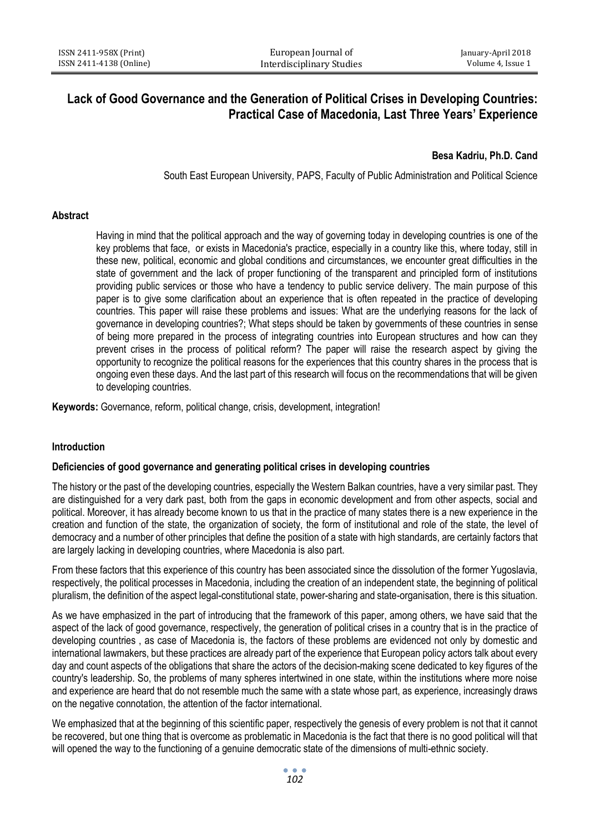# **Lack of Good Governance and the Generation of Political Crises in Developing Countries: Practical Case of Macedonia, Last Three Years' Experience**

# **Besa Kadriu, Ph.D. Cand**

South East European University, PAPS, Faculty of Public Administration and Political Science

# **Abstract**

Having in mind that the political approach and the way of governing today in developing countries is one of the key problems that face, or exists in Macedonia's practice, especially in a country like this, where today, still in these new, political, economic and global conditions and circumstances, we encounter great difficulties in the state of government and the lack of proper functioning of the transparent and principled form of institutions providing public services or those who have a tendency to public service delivery. The main purpose of this paper is to give some clarification about an experience that is often repeated in the practice of developing countries. This paper will raise these problems and issues: What are the underlying reasons for the lack of governance in developing countries?; What steps should be taken by governments of these countries in sense of being more prepared in the process of integrating countries into European structures and how can they prevent crises in the process of political reform? The paper will raise the research aspect by giving the opportunity to recognize the political reasons for the experiences that this country shares in the process that is ongoing even these days. And the last part of this research will focus on the recommendations that will be given to developing countries.

**Keywords:** Governance, reform, political change, crisis, development, integration!

# **Introduction**

## **Deficiencies of good governance and generating political crises in developing countries**

The history or the past of the developing countries, especially the Western Balkan countries, have a very similar past. They are distinguished for a very dark past, both from the gaps in economic development and from other aspects, social and political. Moreover, it has already become known to us that in the practice of many states there is a new experience in the creation and function of the state, the organization of society, the form of institutional and role of the state, the level of democracy and a number of other principles that define the position of a state with high standards, are certainly factors that are largely lacking in developing countries, where Macedonia is also part.

From these factors that this experience of this country has been associated since the dissolution of the former Yugoslavia, respectively, the political processes in Macedonia, including the creation of an independent state, the beginning of political pluralism, the definition of the aspect legal-constitutional state, power-sharing and state-organisation, there is this situation.

As we have emphasized in the part of introducing that the framework of this paper, among others, we have said that the aspect of the lack of good governance, respectively, the generation of political crises in a country that is in the practice of developing countries , as case of Macedonia is, the factors of these problems are evidenced not only by domestic and international lawmakers, but these practices are already part of the experience that European policy actors talk about every day and count aspects of the obligations that share the actors of the decision-making scene dedicated to key figures of the country's leadership. So, the problems of many spheres intertwined in one state, within the institutions where more noise and experience are heard that do not resemble much the same with a state whose part, as experience, increasingly draws on the negative connotation, the attention of the factor international.

We emphasized that at the beginning of this scientific paper, respectively the genesis of every problem is not that it cannot be recovered, but one thing that is overcome as problematic in Macedonia is the fact that there is no good political will that will opened the way to the functioning of a genuine democratic state of the dimensions of multi-ethnic society.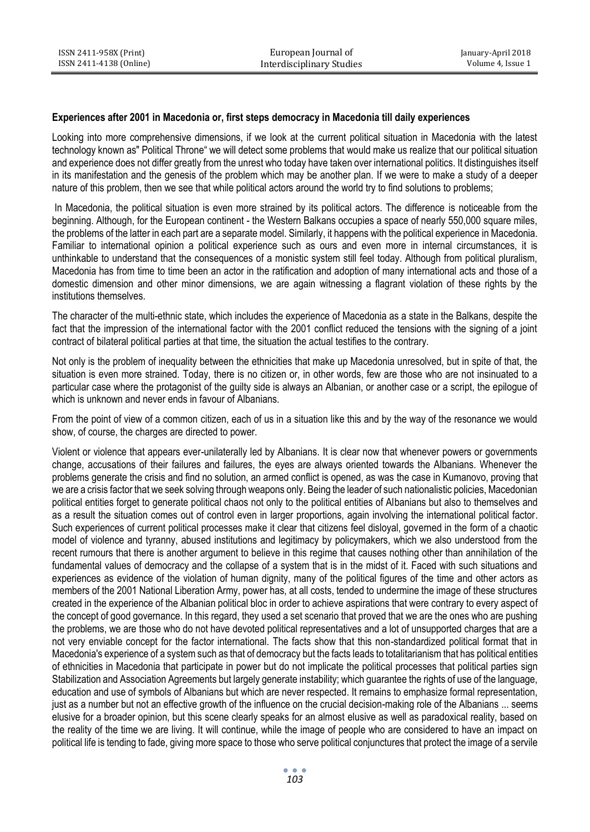# **Experiences after 2001 in Macedonia or, first steps democracy in Macedonia till daily experiences**

Looking into more comprehensive dimensions, if we look at the current political situation in Macedonia with the latest technology known as" Political Throne" we will detect some problems that would make us realize that our political situation and experience does not differ greatly from the unrest who today have taken over international politics. It distinguishes itself in its manifestation and the genesis of the problem which may be another plan. If we were to make a study of a deeper nature of this problem, then we see that while political actors around the world try to find solutions to problems;

In Macedonia, the political situation is even more strained by its political actors. The difference is noticeable from the beginning. Although, for the European continent - the Western Balkans occupies a space of nearly 550,000 square miles, the problems of the latter in each part are a separate model. Similarly, it happens with the political experience in Macedonia. Familiar to international opinion a political experience such as ours and even more in internal circumstances, it is unthinkable to understand that the consequences of a monistic system still feel today. Although from political pluralism, Macedonia has from time to time been an actor in the ratification and adoption of many international acts and those of a domestic dimension and other minor dimensions, we are again witnessing a flagrant violation of these rights by the institutions themselves.

The character of the multi-ethnic state, which includes the experience of Macedonia as a state in the Balkans, despite the fact that the impression of the international factor with the 2001 conflict reduced the tensions with the signing of a joint contract of bilateral political parties at that time, the situation the actual testifies to the contrary.

Not only is the problem of inequality between the ethnicities that make up Macedonia unresolved, but in spite of that, the situation is even more strained. Today, there is no citizen or, in other words, few are those who are not insinuated to a particular case where the protagonist of the guilty side is always an Albanian, or another case or a script, the epilogue of which is unknown and never ends in favour of Albanians.

From the point of view of a common citizen, each of us in a situation like this and by the way of the resonance we would show, of course, the charges are directed to power.

Violent or violence that appears ever-unilaterally led by Albanians. It is clear now that whenever powers or governments change, accusations of their failures and failures, the eyes are always oriented towards the Albanians. Whenever the problems generate the crisis and find no solution, an armed conflict is opened, as was the case in Kumanovo, proving that we are a crisis factor that we seek solving through weapons only. Being the leader of such nationalistic policies, Macedonian political entities forget to generate political chaos not only to the political entities of Albanians but also to themselves and as a result the situation comes out of control even in larger proportions, again involving the international political factor. Such experiences of current political processes make it clear that citizens feel disloyal, governed in the form of a chaotic model of violence and tyranny, abused institutions and legitimacy by policymakers, which we also understood from the recent rumours that there is another argument to believe in this regime that causes nothing other than annihilation of the fundamental values of democracy and the collapse of a system that is in the midst of it. Faced with such situations and experiences as evidence of the violation of human dignity, many of the political figures of the time and other actors as members of the 2001 National Liberation Army, power has, at all costs, tended to undermine the image of these structures created in the experience of the Albanian political bloc in order to achieve aspirations that were contrary to every aspect of the concept of good governance. In this regard, they used a set scenario that proved that we are the ones who are pushing the problems, we are those who do not have devoted political representatives and a lot of unsupported charges that are a not very enviable concept for the factor international. The facts show that this non-standardized political format that in Macedonia's experience of a system such as that of democracy but the facts leads to totalitarianism that has political entities of ethnicities in Macedonia that participate in power but do not implicate the political processes that political parties sign Stabilization and Association Agreements but largely generate instability; which guarantee the rights of use of the language, education and use of symbols of Albanians but which are never respected. It remains to emphasize formal representation, just as a number but not an effective growth of the influence on the crucial decision-making role of the Albanians ... seems elusive for a broader opinion, but this scene clearly speaks for an almost elusive as well as paradoxical reality, based on the reality of the time we are living. It will continue, while the image of people who are considered to have an impact on political life is tending to fade, giving more space to those who serve political conjunctures that protect the image of a servile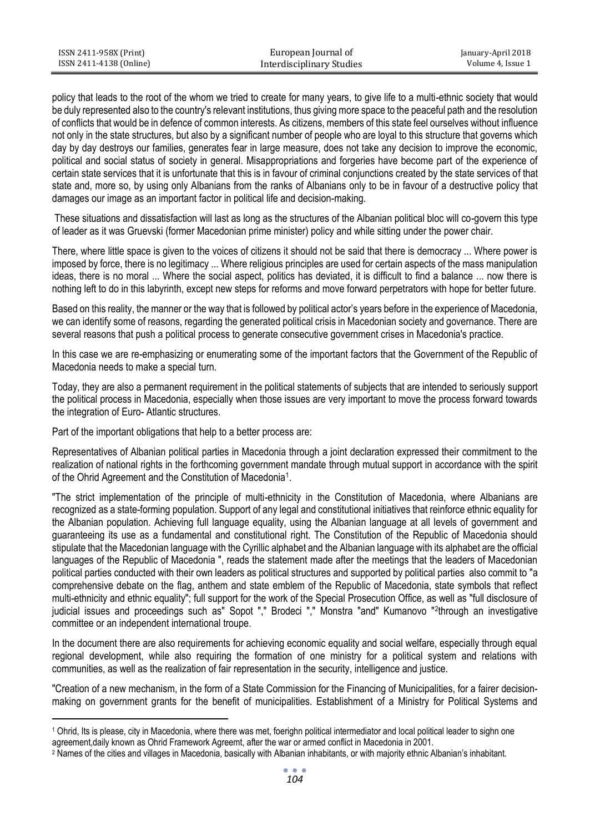| ISSN 2411-958X (Print)  | European Journal of       | January-April 2018 |
|-------------------------|---------------------------|--------------------|
| ISSN 2411-4138 (Online) | Interdisciplinary Studies | Volume 4. Issue 1  |

policy that leads to the root of the whom we tried to create for many years, to give life to a multi-ethnic society that would be duly represented also to the country's relevant institutions, thus giving more space to the peaceful path and the resolution of conflicts that would be in defence of common interests. As citizens, members of this state feel ourselves without influence not only in the state structures, but also by a significant number of people who are loyal to this structure that governs which day by day destroys our families, generates fear in large measure, does not take any decision to improve the economic, political and social status of society in general. Misappropriations and forgeries have become part of the experience of certain state services that it is unfortunate that this is in favour of criminal conjunctions created by the state services of that state and, more so, by using only Albanians from the ranks of Albanians only to be in favour of a destructive policy that damages our image as an important factor in political life and decision-making.

These situations and dissatisfaction will last as long as the structures of the Albanian political bloc will co-govern this type of leader as it was Gruevski (former Macedonian prime minister) policy and while sitting under the power chair.

There, where little space is given to the voices of citizens it should not be said that there is democracy ... Where power is imposed by force, there is no legitimacy ... Where religious principles are used for certain aspects of the mass manipulation ideas, there is no moral ... Where the social aspect, politics has deviated, it is difficult to find a balance ... now there is nothing left to do in this labyrinth, except new steps for reforms and move forward perpetrators with hope for better future.

Based on this reality, the manner or the way that is followed by political actor's years before in the experience of Macedonia, we can identify some of reasons, regarding the generated political crisis in Macedonian society and governance. There are several reasons that push a political process to generate consecutive government crises in Macedonia's practice.

In this case we are re-emphasizing or enumerating some of the important factors that the Government of the Republic of Macedonia needs to make a special turn.

Today, they are also a permanent requirement in the political statements of subjects that are intended to seriously support the political process in Macedonia, especially when those issues are very important to move the process forward towards the integration of Euro- Atlantic structures.

Part of the important obligations that help to a better process are:

1

Representatives of Albanian political parties in Macedonia through a joint declaration expressed their commitment to the realization of national rights in the forthcoming government mandate through mutual support in accordance with the spirit of the Ohrid Agreement and the Constitution of Macedonia<sup>1</sup>.

"The strict implementation of the principle of multi-ethnicity in the Constitution of Macedonia, where Albanians are recognized as a state-forming population. Support of any legal and constitutional initiatives that reinforce ethnic equality for the Albanian population. Achieving full language equality, using the Albanian language at all levels of government and guaranteeing its use as a fundamental and constitutional right. The Constitution of the Republic of Macedonia should stipulate that the Macedonian language with the Cyrillic alphabet and the Albanian language with its alphabet are the official languages of the Republic of Macedonia ", reads the statement made after the meetings that the leaders of Macedonian political parties conducted with their own leaders as political structures and supported by political parties also commit to "a comprehensive debate on the flag, anthem and state emblem of the Republic of Macedonia, state symbols that reflect multi-ethnicity and ethnic equality"; full support for the work of the Special Prosecution Office, as well as "full disclosure of judicial issues and proceedings such as" Sopot "," Brodeci "," Monstra "and" Kumanovo "<sup>2</sup>through an investigative committee or an independent international troupe.

In the document there are also requirements for achieving economic equality and social welfare, especially through equal regional development, while also requiring the formation of one ministry for a political system and relations with communities, as well as the realization of fair representation in the security, intelligence and justice.

"Creation of a new mechanism, in the form of a State Commission for the Financing of Municipalities, for a fairer decisionmaking on government grants for the benefit of municipalities. Establishment of a Ministry for Political Systems and

<sup>1</sup> Ohrid, Its is please, city in Macedonia, where there was met, foerighn political intermediator and local political leader to sighn one agreement,daily known as Ohrid Framework Agreemt, after the war or armed conflict in Macedonia in 2001.

<sup>2</sup> Names of the cities and villages in Macedonia, basically with Albanian inhabitants, or with majority ethnic Albanian's inhabitant.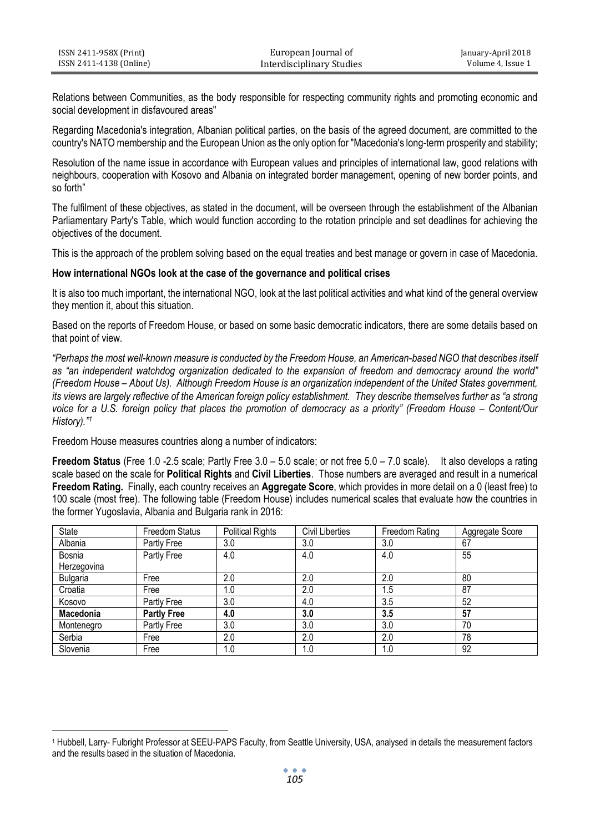| ISSN 2411-958X (Print)  | European Journal of       | January-April 2018 |
|-------------------------|---------------------------|--------------------|
| ISSN 2411-4138 (Online) | Interdisciplinary Studies | Volume 4. Issue 1  |

Relations between Communities, as the body responsible for respecting community rights and promoting economic and social development in disfavoured areas"

Regarding Macedonia's integration, Albanian political parties, on the basis of the agreed document, are committed to the country's NATO membership and the European Union as the only option for "Macedonia's long-term prosperity and stability;

Resolution of the name issue in accordance with European values and principles of international law, good relations with neighbours, cooperation with Kosovo and Albania on integrated border management, opening of new border points, and so forth"

The fulfilment of these objectives, as stated in the document, will be overseen through the establishment of the Albanian Parliamentary Party's Table, which would function according to the rotation principle and set deadlines for achieving the objectives of the document.

This is the approach of the problem solving based on the equal treaties and best manage or govern in case of Macedonia.

#### **How international NGOs look at the case of the governance and political crises**

It is also too much important, the international NGO, look at the last political activities and what kind of the general overview they mention it, about this situation.

Based on the reports of Freedom House, or based on some basic democratic indicators, there are some details based on that point of view.

*"Perhaps the most well-known measure is conducted by the Freedom House, an American-based NGO that describes itself*  as "an independent watchdog organization dedicated to the expansion of freedom and democracy around the world" *(Freedom House – About Us). Although Freedom House is an organization independent of the United States government, its views are largely reflective of the American foreign policy establishment. They describe themselves further as "a strong voice for a U.S. foreign policy that places the promotion of democracy as a priority" (Freedom House – Content/Our History)."<sup>1</sup>*

Freedom House measures countries along a number of indicators:

 $\ddot{\phantom{a}}$ 

**Freedom Status** (Free 1.0 -2.5 scale; Partly Free 3.0 – 5.0 scale; or not free 5.0 – 7.0 scale). It also develops a rating scale based on the scale for **Political Rights** and **Civil Liberties**. Those numbers are averaged and result in a numerical **Freedom Rating.** Finally, each country receives an **Aggregate Score**, which provides in more detail on a 0 (least free) to 100 scale (most free). The following table (Freedom House) includes numerical scales that evaluate how the countries in the former Yugoslavia, Albania and Bulgaria rank in 2016:

| State           | Freedom Status     | <b>Political Rights</b> | <b>Civil Liberties</b> | Freedom Rating | Aggregate Score |
|-----------------|--------------------|-------------------------|------------------------|----------------|-----------------|
| Albania         | Partly Free        | 3.0                     | 3.0                    | 3.0            | 67              |
| Bosnia          | Partly Free        | 4.0                     | 4.0                    | 4.0            | 55              |
| Herzegovina     |                    |                         |                        |                |                 |
| <b>Bulgaria</b> | Free               | 2.0                     | 2.0                    | 2.0            | 80              |
| Croatia         | Free               | 1.0                     | 2.0                    | 1.5            | 87              |
| Kosovo          | Partly Free        | 3.0                     | 4.0                    | 3.5            | 52              |
| Macedonia       | <b>Partly Free</b> | 4.0                     | 3.0                    | 3.5            | 57              |
| Montenegro      | Partly Free        | 3.0                     | 3.0                    | 3.0            | 70              |
| Serbia          | Free               | 2.0                     | 2.0                    | 2.0            | 78              |
| Slovenia        | Free               | 1.0                     | 1.0                    | 1.0            | 92              |

<sup>1</sup> Hubbell, Larry- Fulbright Professor at SEEU-PAPS Faculty, from Seattle University, USA, analysed in details the measurement factors and the results based in the situation of Macedonia.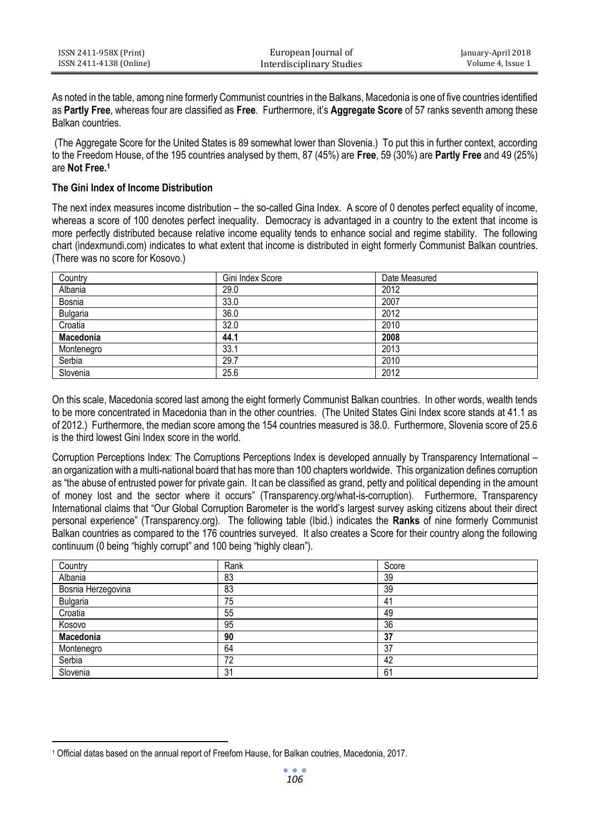| ISSN 2411-958X (Print)  | European Journal of       | January-April 2018 |
|-------------------------|---------------------------|--------------------|
| ISSN 2411-4138 (Online) | Interdisciplinary Studies | Volume 4. Issue 1  |

As noted in the table, among nine formerly Communist countries in the Balkans, Macedonia is one of five countries identified as **Partly Free**, whereas four are classified as **Free**. Furthermore, it's **Aggregate Score** of 57 ranks seventh among these Balkan countries.

(The Aggregate Score for the United States is 89 somewhat lower than Slovenia.) To put this in further context, according to the Freedom House, of the 195 countries analysed by them, 87 (45%) are **Free**, 59 (30%) are **Partly Free** and 49 (25%) are **Not Free.<sup>1</sup>**

# **The Gini Index of Income Distribution**

The next index measures income distribution – the so-called Gina Index. A score of 0 denotes perfect equality of income, whereas a score of 100 denotes perfect inequality. Democracy is advantaged in a country to the extent that income is more perfectly distributed because relative income equality tends to enhance social and regime stability. The following chart (indexmundi.com) indicates to what extent that income is distributed in eight formerly Communist Balkan countries. (There was no score for Kosovo.)

| Country    | Gini Index Score | Date Measured |
|------------|------------------|---------------|
| Albania    | 29.0             | 2012          |
| Bosnia     | 33.0             | 2007          |
| Bulgaria   | 36.0             | 2012          |
| Croatia    | 32.0             | 2010          |
| Macedonia  | 44.1             | 2008          |
| Montenegro | 33.1             | 2013          |
| Serbia     | 29.7             | 2010          |
| Slovenia   | 25.6             | 2012          |

On this scale, Macedonia scored last among the eight formerly Communist Balkan countries. In other words, wealth tends to be more concentrated in Macedonia than in the other countries. (The United States Gini Index score stands at 41.1 as of 2012.) Furthermore, the median score among the 154 countries measured is 38.0. Furthermore, Slovenia score of 25.6 is the third lowest Gini Index score in the world.

Corruption Perceptions Index: The Corruptions Perceptions Index is developed annually by Transparency International – an organization with a multi-national board that has more than 100 chapters worldwide. This organization defines corruption as "the abuse of entrusted power for private gain. It can be classified as grand, petty and political depending in the amount of money lost and the sector where it occurs" (Transparency.org/what-is-corruption). Furthermore, Transparency International claims that "Our Global Corruption Barometer is the world's largest survey asking citizens about their direct personal experience" (Transparency.org). The following table (Ibid.) indicates the **Ranks** of nine formerly Communist Balkan countries as compared to the 176 countries surveyed. It also creates a Score for their country along the following continuum (0 being "highly corrupt" and 100 being "highly clean").

| Country            | Rank | Score |
|--------------------|------|-------|
| Albania            | 83   | 39    |
| Bosnia Herzegovina | 83   | 39    |
| Bulgaria           | 75   | 41    |
| Croatia            | 55   | 49    |
| Kosovo             | 95   | 36    |
| Macedonia          | 90   | 37    |
| Montenegro         | 64   | 37    |
| Serbia             | 72   | 42    |
| Slovenia           | 31   | 61    |

 $\ddot{\phantom{a}}$ 

<sup>1</sup> Official datas based on the annual report of Freefom Hause, for Balkan coutries, Macedonia, 2017.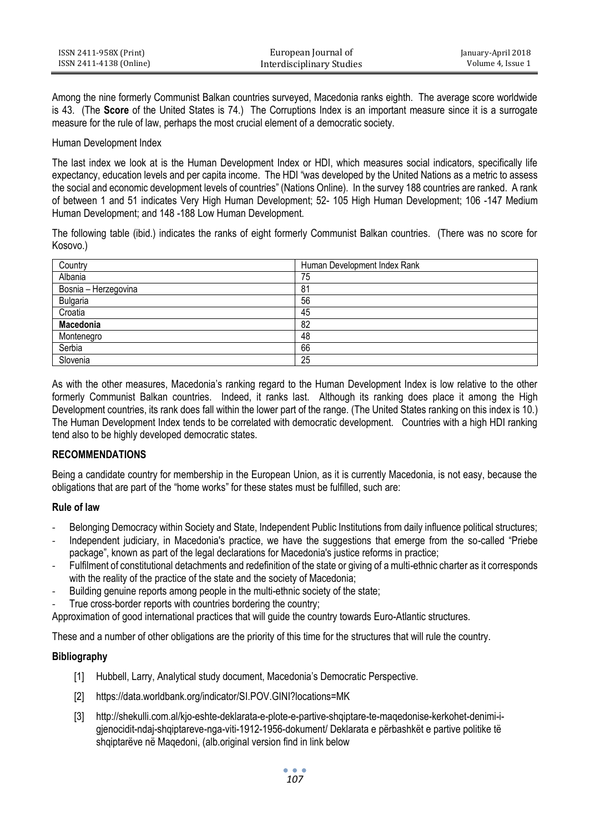| ISSN 2411-958X (Print)  | European Journal of       | January-April 2018 |
|-------------------------|---------------------------|--------------------|
| ISSN 2411-4138 (Online) | Interdisciplinary Studies | Volume 4, Issue 1  |

Among the nine formerly Communist Balkan countries surveyed, Macedonia ranks eighth. The average score worldwide is 43. (The **Score** of the United States is 74.) The Corruptions Index is an important measure since it is a surrogate measure for the rule of law, perhaps the most crucial element of a democratic society.

#### Human Development Index

The last index we look at is the Human Development Index or HDI, which measures social indicators, specifically life expectancy, education levels and per capita income. The HDI "was developed by the United Nations as a metric to assess the social and economic development levels of countries" (Nations Online). In the survey 188 countries are ranked. A rank of between 1 and 51 indicates Very High Human Development; 52- 105 High Human Development; 106 -147 Medium Human Development; and 148 -188 Low Human Development.

The following table (ibid.) indicates the ranks of eight formerly Communist Balkan countries. (There was no score for Kosovo.)

| Country              | Human Development Index Rank |  |
|----------------------|------------------------------|--|
| Albania              | 75                           |  |
| Bosnia - Herzegovina | 81                           |  |
| Bulgaria             | 56                           |  |
| Croatia              | 45                           |  |
| Macedonia            | 82                           |  |
| Montenegro           | 48                           |  |
| Serbia               | 66                           |  |
| Slovenia             | 25                           |  |

As with the other measures, Macedonia's ranking regard to the Human Development Index is low relative to the other formerly Communist Balkan countries. Indeed, it ranks last. Although its ranking does place it among the High Development countries, its rank does fall within the lower part of the range. (The United States ranking on this index is 10.) The Human Development Index tends to be correlated with democratic development. Countries with a high HDI ranking tend also to be highly developed democratic states.

# **RECOMMENDATIONS**

Being a candidate country for membership in the European Union, as it is currently Macedonia, is not easy, because the obligations that are part of the "home works" for these states must be fulfilled, such are:

## **Rule of law**

- Belonging Democracy within Society and State, Independent Public Institutions from daily influence political structures;
- Independent judiciary, in Macedonia's practice, we have the suggestions that emerge from the so-called "Priebe package", known as part of the legal declarations for Macedonia's justice reforms in practice;
- Fulfilment of constitutional detachments and redefinition of the state or giving of a multi-ethnic charter as it corresponds with the reality of the practice of the state and the society of Macedonia;
- Building genuine reports among people in the multi-ethnic society of the state;
- True cross-border reports with countries bordering the country;

Approximation of good international practices that will guide the country towards Euro-Atlantic structures.

These and a number of other obligations are the priority of this time for the structures that will rule the country.

#### **Bibliography**

- [1] Hubbell, Larry, Analytical study document, Macedonia's Democratic Perspective.
- [2] <https://data.worldbank.org/indicator/SI.POV.GINI?locations=MK>
- [3] [http://shekulli.com.al/kjo-eshte-deklarata-e-plote-e-partive-shqiptare-te-maqedonise-kerkohet-denimi-i](http://shekulli.com.al/kjo-eshte-deklarata-e-plote-e-partive-shqiptare-te-maqedonise-kerkohet-denimi-i-gjenocidit-ndaj-shqiptareve-nga-viti-1912-1956-dokument/)[gjenocidit-ndaj-shqiptareve-nga-viti-1912-1956-dokument/](http://shekulli.com.al/kjo-eshte-deklarata-e-plote-e-partive-shqiptare-te-maqedonise-kerkohet-denimi-i-gjenocidit-ndaj-shqiptareve-nga-viti-1912-1956-dokument/) Deklarata e përbashkët e partive politike të shqiptarëve në Maqedoni, (alb.original version find in link below